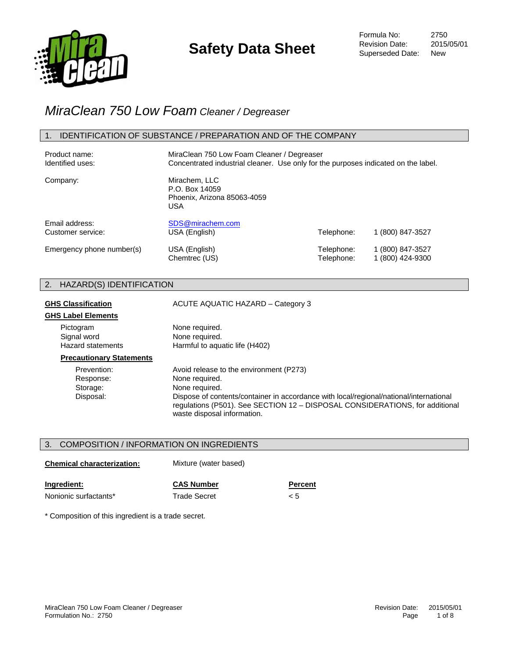

# *MiraClean 750 Low Foam Cleaner / Degreaser*

## 1. IDENTIFICATION OF SUBSTANCE / PREPARATION AND OF THE COMPANY

| Product name:                       | MiraClean 750 Low Foam Cleaner / Degreaser                                         |            |                  |
|-------------------------------------|------------------------------------------------------------------------------------|------------|------------------|
| Identified uses:                    | Concentrated industrial cleaner. Use only for the purposes indicated on the label. |            |                  |
| Company:                            | Mirachem, LLC<br>P.O. Box 14059<br>Phoenix, Arizona 85063-4059<br><b>USA</b>       |            |                  |
| Email address:<br>Customer service: | SDS@mirachem.com<br>USA (English)                                                  | Telephone: | 1 (800) 847-3527 |
| Emergency phone number(s)           | USA (English)                                                                      | Telephone: | 1 (800) 847-3527 |
|                                     | Chemtrec (US)                                                                      | Telephone: | 1 (800) 424-9300 |

## 2. HAZARD(S) IDENTIFICATION

| <b>GHS Classification</b>                         | ACUTE AQUATIC HAZARD - Category 3                                                                                                                                                                                                                                                    |
|---------------------------------------------------|--------------------------------------------------------------------------------------------------------------------------------------------------------------------------------------------------------------------------------------------------------------------------------------|
| <b>GHS Label Elements</b>                         |                                                                                                                                                                                                                                                                                      |
| Pictogram<br>Signal word<br>Hazard statements     | None required.<br>None required.<br>Harmful to aquatic life (H402)                                                                                                                                                                                                                   |
| <b>Precautionary Statements</b>                   |                                                                                                                                                                                                                                                                                      |
| Prevention:<br>Response:<br>Storage:<br>Disposal: | Avoid release to the environment (P273)<br>None required.<br>None required.<br>Dispose of contents/container in accordance with local/regional/national/international<br>regulations (P501). See SECTION 12 - DISPOSAL CONSIDERATIONS, for additional<br>waste disposal information. |

#### 3. COMPOSITION / INFORMATION ON INGREDIENTS

| <b>Chemical characterization:</b> | Mixture (water based) |                |  |  |
|-----------------------------------|-----------------------|----------------|--|--|
| Ingredient:                       | <b>CAS Number</b>     | <b>Percent</b> |  |  |
| Nonionic surfactants*             | <b>Trade Secret</b>   | < 5            |  |  |

\* Composition of this ingredient is a trade secret.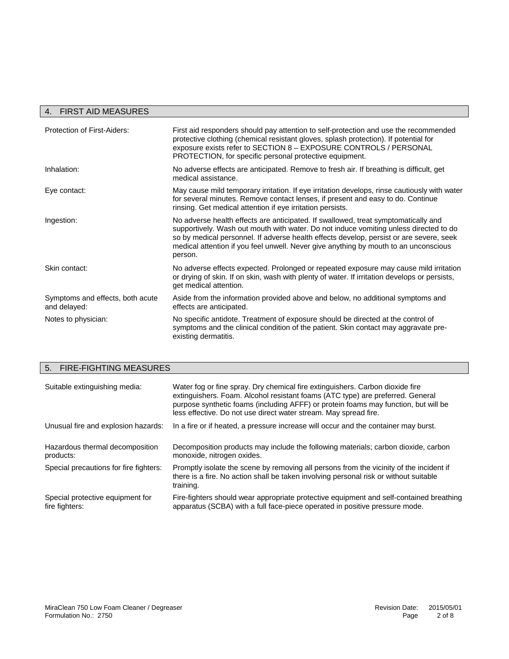## 4. FIRST AID MEASURES

| Protection of First-Aiders:                      | First aid responders should pay attention to self-protection and use the recommended<br>protective clothing (chemical resistant gloves, splash protection). If potential for<br>exposure exists refer to SECTION 8 - EXPOSURE CONTROLS / PERSONAL<br>PROTECTION, for specific personal protective equipment.                                                              |
|--------------------------------------------------|---------------------------------------------------------------------------------------------------------------------------------------------------------------------------------------------------------------------------------------------------------------------------------------------------------------------------------------------------------------------------|
| Inhalation:                                      | No adverse effects are anticipated. Remove to fresh air. If breathing is difficult, get<br>medical assistance.                                                                                                                                                                                                                                                            |
| Eye contact:                                     | May cause mild temporary irritation. If eye irritation develops, rinse cautiously with water<br>for several minutes. Remove contact lenses, if present and easy to do. Continue<br>rinsing. Get medical attention if eye irritation persists.                                                                                                                             |
| Ingestion:                                       | No adverse health effects are anticipated. If swallowed, treat symptomatically and<br>supportively. Wash out mouth with water. Do not induce vomiting unless directed to do<br>so by medical personnel. If adverse health effects develop, persist or are severe, seek<br>medical attention if you feel unwell. Never give anything by mouth to an unconscious<br>person. |
| Skin contact:                                    | No adverse effects expected. Prolonged or repeated exposure may cause mild irritation<br>or drying of skin. If on skin, wash with plenty of water. If irritation develops or persists,<br>get medical attention.                                                                                                                                                          |
| Symptoms and effects, both acute<br>and delayed: | Aside from the information provided above and below, no additional symptoms and<br>effects are anticipated.                                                                                                                                                                                                                                                               |
| Notes to physician:                              | No specific antidote. Treatment of exposure should be directed at the control of<br>symptoms and the clinical condition of the patient. Skin contact may aggravate pre-<br>existing dermatitis.                                                                                                                                                                           |

| 5. FIRE-FIGHTING MEASURES     |                                                                               |
|-------------------------------|-------------------------------------------------------------------------------|
| Suitable extinguishing media: | Water fog or fine spray. Dry chemical fire extinguishers. Carbon dioxide fire |

|                                                    | extinguishers. Foam. Alcohol resistant foams (ATC type) are preferred. General<br>purpose synthetic foams (including AFFF) or protein foams may function, but will be<br>less effective. Do not use direct water stream. May spread fire. |
|----------------------------------------------------|-------------------------------------------------------------------------------------------------------------------------------------------------------------------------------------------------------------------------------------------|
| Unusual fire and explosion hazards:                | In a fire or if heated, a pressure increase will occur and the container may burst.                                                                                                                                                       |
| Hazardous thermal decomposition<br>products:       | Decomposition products may include the following materials; carbon dioxide, carbon<br>monoxide, nitrogen oxides.                                                                                                                          |
| Special precautions for fire fighters:             | Promptly isolate the scene by removing all persons from the vicinity of the incident if<br>there is a fire. No action shall be taken involving personal risk or without suitable<br>training.                                             |
| Special protective equipment for<br>fire fighters: | Fire-fighters should wear appropriate protective equipment and self-contained breathing<br>apparatus (SCBA) with a full face-piece operated in positive pressure mode.                                                                    |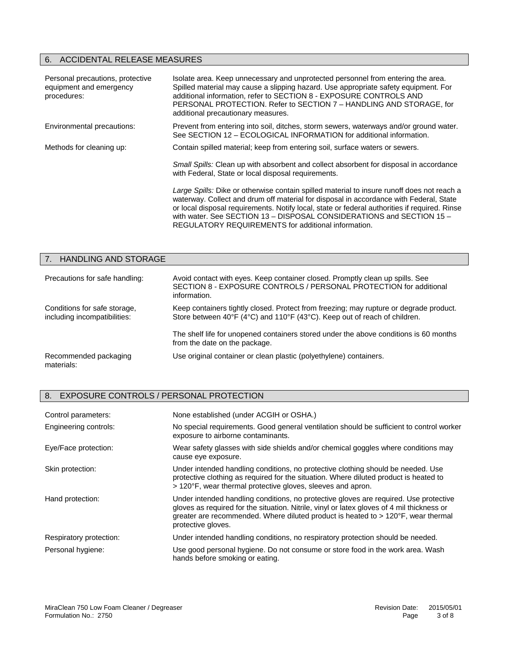## 6. ACCIDENTAL RELEASE MEASURES

| Personal precautions, protective<br>equipment and emergency<br>procedures: | Isolate area. Keep unnecessary and unprotected personnel from entering the area.<br>Spilled material may cause a slipping hazard. Use appropriate safety equipment. For<br>additional information, refer to SECTION 8 - EXPOSURE CONTROLS AND<br>PERSONAL PROTECTION. Refer to SECTION 7 - HANDLING AND STORAGE, for<br>additional precautionary measures.                                                              |
|----------------------------------------------------------------------------|-------------------------------------------------------------------------------------------------------------------------------------------------------------------------------------------------------------------------------------------------------------------------------------------------------------------------------------------------------------------------------------------------------------------------|
| Environmental precautions:                                                 | Prevent from entering into soil, ditches, storm sewers, waterways and/or ground water.<br>See SECTION 12 - ECOLOGICAL INFORMATION for additional information.                                                                                                                                                                                                                                                           |
| Methods for cleaning up:                                                   | Contain spilled material; keep from entering soil, surface waters or sewers.                                                                                                                                                                                                                                                                                                                                            |
|                                                                            | Small Spills: Clean up with absorbent and collect absorbent for disposal in accordance<br>with Federal, State or local disposal requirements.                                                                                                                                                                                                                                                                           |
|                                                                            | Large Spills: Dike or otherwise contain spilled material to insure runoff does not reach a<br>waterway. Collect and drum off material for disposal in accordance with Federal, State<br>or local disposal requirements. Notify local, state or federal authorities if required. Rinse<br>with water. See SECTION 13 - DISPOSAL CONSIDERATIONS and SECTION $15$ -<br>REGULATORY REQUIREMENTS for additional information. |

## 7. HANDLING AND STORAGE

| Precautions for safe handling:                               | Avoid contact with eyes. Keep container closed. Promptly clean up spills. See<br>SECTION 8 - EXPOSURE CONTROLS / PERSONAL PROTECTION for additional<br>information. |
|--------------------------------------------------------------|---------------------------------------------------------------------------------------------------------------------------------------------------------------------|
| Conditions for safe storage,<br>including incompatibilities: | Keep containers tightly closed. Protect from freezing; may rupture or degrade product.<br>Store between 40°F (4°C) and 110°F (43°C). Keep out of reach of children. |
|                                                              | The shelf life for unopened containers stored under the above conditions is 60 months<br>from the date on the package.                                              |
| Recommended packaging<br>materials:                          | Use original container or clean plastic (polyethylene) containers.                                                                                                  |

## 8. EXPOSURE CONTROLS / PERSONAL PROTECTION

| Control parameters:     | None established (under ACGIH or OSHA.)                                                                                                                                                                                                                                                                 |
|-------------------------|---------------------------------------------------------------------------------------------------------------------------------------------------------------------------------------------------------------------------------------------------------------------------------------------------------|
| Engineering controls:   | No special requirements. Good general ventilation should be sufficient to control worker<br>exposure to airborne contaminants.                                                                                                                                                                          |
| Eye/Face protection:    | Wear safety glasses with side shields and/or chemical goggles where conditions may<br>cause eye exposure.                                                                                                                                                                                               |
| Skin protection:        | Under intended handling conditions, no protective clothing should be needed. Use<br>protective clothing as required for the situation. Where diluted product is heated to<br>> 120°F, wear thermal protective gloves, sleeves and apron.                                                                |
| Hand protection:        | Under intended handling conditions, no protective gloves are required. Use protective<br>gloves as required for the situation. Nitrile, vinyl or latex gloves of 4 mil thickness or<br>greater are recommended. Where diluted product is heated to $>120^{\circ}$ F, wear thermal<br>protective gloves. |
| Respiratory protection: | Under intended handling conditions, no respiratory protection should be needed.                                                                                                                                                                                                                         |
| Personal hygiene:       | Use good personal hygiene. Do not consume or store food in the work area. Wash<br>hands before smoking or eating.                                                                                                                                                                                       |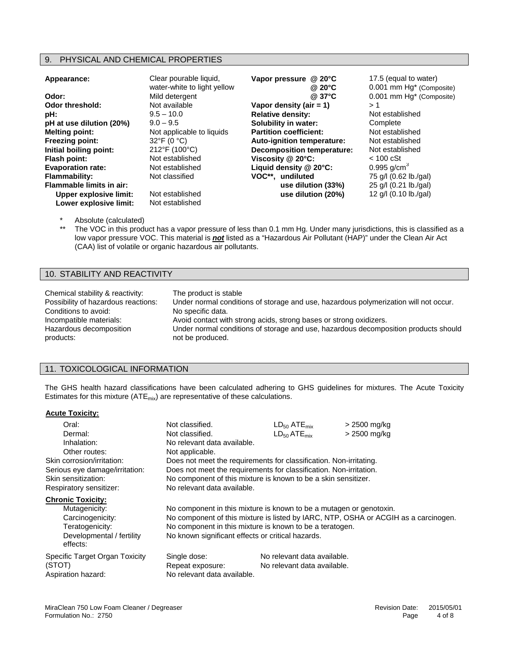## 9. PHYSICAL AND CHEMICAL PROPERTIES

| Appearance:              | Clear pourable liquid,<br>water-white to light yellow | Vapor pressure @ 20°C<br>@ 20°C   | 17.5 (equal to water)<br>0.001 mm Hg* (Composite) |
|--------------------------|-------------------------------------------------------|-----------------------------------|---------------------------------------------------|
| Odor:                    | Mild detergent                                        | $@37^{\circ}C$                    | 0.001 mm Hg* (Composite)                          |
| <b>Odor threshold:</b>   | Not available                                         | Vapor density (air $= 1$ )        | > 1                                               |
| pH:                      | $9.5 - 10.0$                                          | <b>Relative density:</b>          | Not established                                   |
| pH at use dilution (20%) | $9.0 - 9.5$                                           | Solubility in water:              | Complete                                          |
| <b>Melting point:</b>    | Not applicable to liquids                             | <b>Partition coefficient:</b>     | Not established                                   |
| <b>Freezing point:</b>   | $32^{\circ}F(0^{\circ}C)$                             | Auto-ignition temperature:        | Not established                                   |
| Initial boiling point:   | 212°F (100°C)                                         | <b>Decomposition temperature:</b> | Not established                                   |
| Flash point:             | Not established                                       | Viscosity @ 20°C:                 | $<$ 100 cSt                                       |
| <b>Evaporation rate:</b> | Not established                                       | Liquid density @ 20°C:            | 0.995 $g/cm^{3}$                                  |
| <b>Flammability:</b>     | Not classified                                        | VOC**. undiluted                  | 75 g/l (0.62 lb./gal)                             |
| Flammable limits in air: |                                                       | use dilution (33%)                | 25 g/l (0.21 lb./gal)                             |
| Upper explosive limit:   | Not established                                       | use dilution (20%)                | 12 g/l (0.10 lb./gal)                             |
| Lower explosive limit:   | Not established                                       |                                   |                                                   |

\* Absolute (calculated)<br>\*\* The VOC in this prod

The VOC in this product has a vapor pressure of less than 0.1 mm Hg. Under many jurisdictions, this is classified as a low vapor pressure VOC. This material is *not* listed as a "Hazardous Air Pollutant (HAP)" under the Clean Air Act (CAA) list of volatile or organic hazardous air pollutants.

## 10. STABILITY AND REACTIVITY

| Chemical stability & reactivity:    | The product is stable                                                                |
|-------------------------------------|--------------------------------------------------------------------------------------|
| Possibility of hazardous reactions: | Under normal conditions of storage and use, hazardous polymerization will not occur. |
| Conditions to avoid:                | No specific data.                                                                    |
| Incompatible materials:             | Avoid contact with strong acids, strong bases or strong oxidizers.                   |
| Hazardous decomposition             | Under normal conditions of storage and use, hazardous decomposition products should  |
| products:                           | not be produced.                                                                     |

## 11. TOXICOLOGICAL INFORMATION

The GHS health hazard classifications have been calculated adhering to GHS guidelines for mixtures. The Acute Toxicity Estimates for this mixture  $(ATE_{mix})$  are representative of these calculations.

#### **Acute Toxicity:**

| Oral:                                 | Not classified.                                                                     | $LD_{50}$ ATE $_{mix}$       | > 2500 mg/kg |
|---------------------------------------|-------------------------------------------------------------------------------------|------------------------------|--------------|
| Dermal:                               | Not classified.                                                                     | $LD_{50}$ ATE <sub>mix</sub> | > 2500 mg/kg |
| Inhalation:                           | No relevant data available.                                                         |                              |              |
| Other routes:                         | Not applicable.                                                                     |                              |              |
| Skin corrosion/irritation:            | Does not meet the requirements for classification. Non-irritating.                  |                              |              |
| Serious eye damage/irritation:        | Does not meet the requirements for classification. Non-irritation.                  |                              |              |
| Skin sensitization:                   | No component of this mixture is known to be a skin sensitizer.                      |                              |              |
| Respiratory sensitizer:               | No relevant data available.                                                         |                              |              |
| <b>Chronic Toxicity:</b>              |                                                                                     |                              |              |
| Mutagenicity:                         | No component in this mixture is known to be a mutagen or genotoxin.                 |                              |              |
| Carcinogenicity:                      | No component of this mixture is listed by IARC, NTP, OSHA or ACGIH as a carcinogen. |                              |              |
| Teratogenicity:                       | No component in this mixture is known to be a teratogen.                            |                              |              |
| Developmental / fertility<br>effects: | No known significant effects or critical hazards.                                   |                              |              |
| Specific Target Organ Toxicity        | Single dose:                                                                        | No relevant data available.  |              |
| (STOT)                                | Repeat exposure:                                                                    | No relevant data available.  |              |
| Aspiration hazard:                    | No relevant data available.                                                         |                              |              |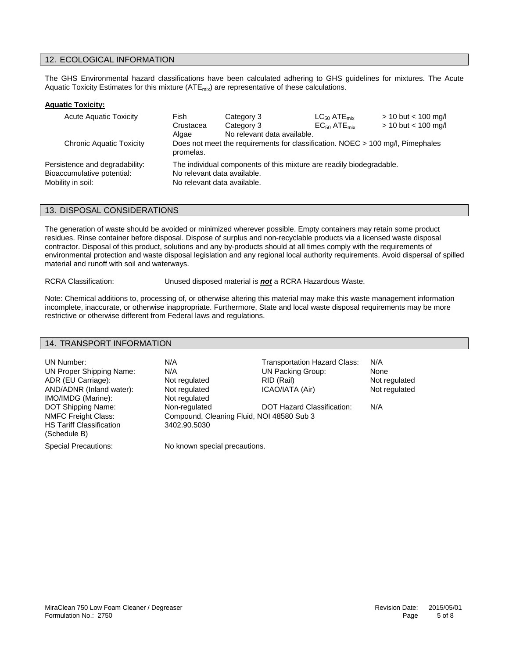### 12. ECOLOGICAL INFORMATION

The GHS Environmental hazard classifications have been calculated adhering to GHS guidelines for mixtures. The Acute Aquatic Toxicity Estimates for this mixture  $(ATE<sub>mix</sub>)$  are representative of these calculations.

#### **Aquatic Toxicity:**

| <b>Acute Aquatic Toxicity</b>                                                     | Fish<br>Crustacea<br>Algae                                 | Category 3<br>Category 3<br>No relevant data available.                        | $LC_{50}$ ATE <sub>mix</sub><br>EC <sub>50</sub> ATE <sub>mix</sub> | $> 10$ but < 100 mg/l<br>$> 10$ but < 100 mg/l |
|-----------------------------------------------------------------------------------|------------------------------------------------------------|--------------------------------------------------------------------------------|---------------------------------------------------------------------|------------------------------------------------|
| <b>Chronic Aquatic Toxicity</b>                                                   | promelas.                                                  | Does not meet the requirements for classification. NOEC > 100 mg/l, Pimephales |                                                                     |                                                |
| Persistence and degradability:<br>Bioaccumulative potential:<br>Mobility in soil: | No relevant data available.<br>No relevant data available. | The individual components of this mixture are readily biodegradable.           |                                                                     |                                                |

#### 13. DISPOSAL CONSIDERATIONS

The generation of waste should be avoided or minimized wherever possible. Empty containers may retain some product residues. Rinse container before disposal. Dispose of surplus and non-recyclable products via a licensed waste disposal contractor. Disposal of this product, solutions and any by-products should at all times comply with the requirements of environmental protection and waste disposal legislation and any regional local authority requirements. Avoid dispersal of spilled material and runoff with soil and waterways.

RCRA Classification: Unused disposed material is *not* a RCRA Hazardous Waste.

Note: Chemical additions to, processing of, or otherwise altering this material may make this waste management information incomplete, inaccurate, or otherwise inappropriate. Furthermore, State and local waste disposal requirements may be more restrictive or otherwise different from Federal laws and regulations.

### 14. TRANSPORT INFORMATION

| UN Number:                      | N/A                                       | <b>Transportation Hazard Class:</b> | N/A           |
|---------------------------------|-------------------------------------------|-------------------------------------|---------------|
| UN Proper Shipping Name:        | N/A                                       | <b>UN Packing Group:</b>            | None          |
|                                 |                                           |                                     |               |
| ADR (EU Carriage):              | Not regulated                             | RID (Rail)                          | Not regulated |
| AND/ADNR (Inland water):        | Not regulated                             | ICAO/IATA (Air)                     | Not regulated |
| IMO/IMDG (Marine):              | Not regulated                             |                                     |               |
| DOT Shipping Name:              | Non-regulated                             | <b>DOT Hazard Classification:</b>   | N/A           |
| <b>NMFC Freight Class:</b>      | Compound, Cleaning Fluid, NOI 48580 Sub 3 |                                     |               |
| <b>HS Tariff Classification</b> | 3402.90.5030                              |                                     |               |
| (Schedule B)                    |                                           |                                     |               |

Special Precautions: No known special precautions.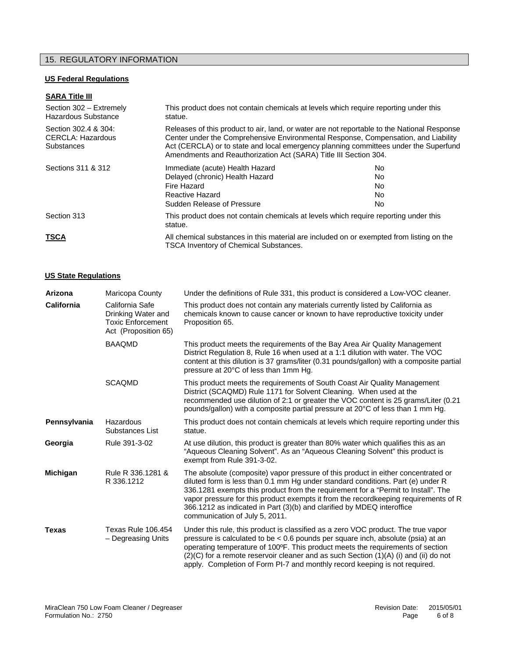## 15. REGULATORY INFORMATION

## **US Federal Regulations**

| <b>SARA Title III</b>                                                 |                                                                                                                                                                                                                                                                                                                                               |                                 |  |
|-----------------------------------------------------------------------|-----------------------------------------------------------------------------------------------------------------------------------------------------------------------------------------------------------------------------------------------------------------------------------------------------------------------------------------------|---------------------------------|--|
| Section 302 - Extremely<br>Hazardous Substance                        | This product does not contain chemicals at levels which require reporting under this<br>statue.                                                                                                                                                                                                                                               |                                 |  |
| Section 302.4 & 304:<br><b>CERCLA: Hazardous</b><br><b>Substances</b> | Releases of this product to air, land, or water are not reportable to the National Response<br>Center under the Comprehensive Environmental Response, Compensation, and Liability<br>Act (CERCLA) or to state and local emergency planning committees under the Superfund<br>Amendments and Reauthorization Act (SARA) Title III Section 304. |                                 |  |
| Sections 311 & 312                                                    | Immediate (acute) Health Hazard<br>Delayed (chronic) Health Hazard<br>Fire Hazard<br>Reactive Hazard<br>Sudden Release of Pressure                                                                                                                                                                                                            | No.<br>No.<br>No.<br>No.<br>No. |  |
| Section 313                                                           | This product does not contain chemicals at levels which require reporting under this<br>statue.                                                                                                                                                                                                                                               |                                 |  |
| <b>TSCA</b>                                                           | All chemical substances in this material are included on or exempted from listing on the<br><b>TSCA Inventory of Chemical Substances.</b>                                                                                                                                                                                                     |                                 |  |

## **US State Regulations**

| Arizona      | Maricopa County                                                                           | Under the definitions of Rule 331, this product is considered a Low-VOC cleaner.                                                                                                                                                                                                                                                                                                                                                                             |
|--------------|-------------------------------------------------------------------------------------------|--------------------------------------------------------------------------------------------------------------------------------------------------------------------------------------------------------------------------------------------------------------------------------------------------------------------------------------------------------------------------------------------------------------------------------------------------------------|
| California   | California Safe<br>Drinking Water and<br><b>Toxic Enforcement</b><br>Act (Proposition 65) | This product does not contain any materials currently listed by California as<br>chemicals known to cause cancer or known to have reproductive toxicity under<br>Proposition 65.                                                                                                                                                                                                                                                                             |
|              | <b>BAAQMD</b>                                                                             | This product meets the requirements of the Bay Area Air Quality Management<br>District Regulation 8, Rule 16 when used at a 1:1 dilution with water. The VOC<br>content at this dilution is 37 grams/liter (0.31 pounds/gallon) with a composite partial<br>pressure at 20°C of less than 1mm Hq.                                                                                                                                                            |
|              | <b>SCAQMD</b>                                                                             | This product meets the requirements of South Coast Air Quality Management<br>District (SCAQMD) Rule 1171 for Solvent Cleaning. When used at the<br>recommended use dilution of 2:1 or greater the VOC content is 25 grams/Liter (0.21<br>pounds/gallon) with a composite partial pressure at $20^{\circ}$ C of less than 1 mm Hg.                                                                                                                            |
| Pennsylvania | Hazardous<br>Substances List                                                              | This product does not contain chemicals at levels which require reporting under this<br>statue.                                                                                                                                                                                                                                                                                                                                                              |
| Georgia      | Rule 391-3-02                                                                             | At use dilution, this product is greater than 80% water which qualifies this as an<br>"Aqueous Cleaning Solvent". As an "Aqueous Cleaning Solvent" this product is<br>exempt from Rule 391-3-02.                                                                                                                                                                                                                                                             |
| Michigan     | Rule R 336.1281 &<br>R 336.1212                                                           | The absolute (composite) vapor pressure of this product in either concentrated or<br>diluted form is less than 0.1 mm Hg under standard conditions. Part (e) under R<br>336.1281 exempts this product from the requirement for a "Permit to Install". The<br>vapor pressure for this product exempts it from the recordkeeping requirements of R<br>366.1212 as indicated in Part (3)(b) and clarified by MDEQ interoffice<br>communication of July 5, 2011. |
| <b>Texas</b> | <b>Texas Rule 106.454</b><br>- Degreasing Units                                           | Under this rule, this product is classified as a zero VOC product. The true vapor<br>pressure is calculated to be $< 0.6$ pounds per square inch, absolute (psia) at an<br>operating temperature of 100°F. This product meets the requirements of section<br>(2)(C) for a remote reservoir cleaner and as such Section (1)(A) (i) and (ii) do not<br>apply. Completion of Form PI-7 and monthly record keeping is not required.                              |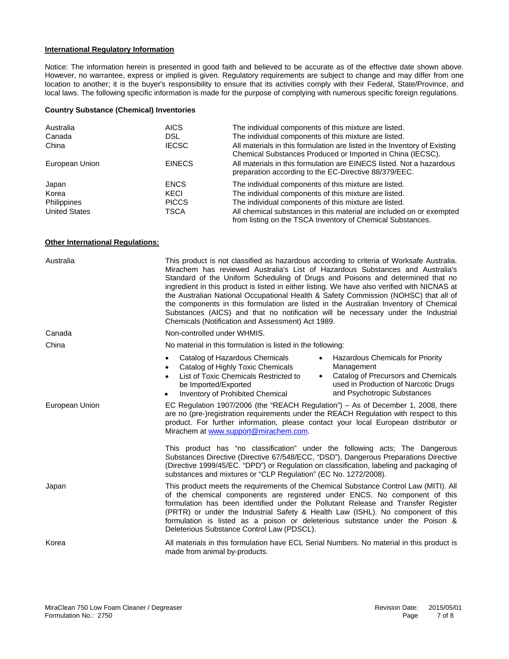### **International Regulatory Information**

Notice: The information herein is presented in good faith and believed to be accurate as of the effective date shown above. However, no warrantee, express or implied is given. Regulatory requirements are subject to change and may differ from one location to another; it is the buyer's responsibility to ensure that its activities comply with their Federal, State/Province, and local laws. The following specific information is made for the purpose of complying with numerous specific foreign regulations.

#### **Country Substance (Chemical) Inventories**

| Australia            | <b>AICS</b>   | The individual components of this mixture are listed.                                                                                   |
|----------------------|---------------|-----------------------------------------------------------------------------------------------------------------------------------------|
| Canada               | <b>DSL</b>    | The individual components of this mixture are listed.                                                                                   |
| China                | <b>IECSC</b>  | All materials in this formulation are listed in the Inventory of Existing<br>Chemical Substances Produced or Imported in China (IECSC). |
| European Union       | <b>EINECS</b> | All materials in this formulation are EINECS listed. Not a hazardous<br>preparation according to the EC-Directive 88/379/EEC.           |
| Japan                | <b>ENCS</b>   | The individual components of this mixture are listed.                                                                                   |
| Korea                | KECI          | The individual components of this mixture are listed.                                                                                   |
| Philippines          | <b>PICCS</b>  | The individual components of this mixture are listed.                                                                                   |
| <b>United States</b> | TSCA          | All chemical substances in this material are included on or exempted<br>from listing on the TSCA Inventory of Chemical Substances.      |

#### **Other International Regulations:**

| Australia      | This product is not classified as hazardous according to criteria of Worksafe Australia.<br>Mirachem has reviewed Australia's List of Hazardous Substances and Australia's<br>Standard of the Uniform Scheduling of Drugs and Poisons and determined that no<br>ingredient in this product is listed in either listing. We have also verified with NICNAS at<br>the Australian National Occupational Health & Safety Commission (NOHSC) that all of<br>the components in this formulation are listed in the Australian Inventory of Chemical<br>Substances (AICS) and that no notification will be necessary under the Industrial<br>Chemicals (Notification and Assessment) Act 1989. |                                                                                                                                                              |  |
|----------------|----------------------------------------------------------------------------------------------------------------------------------------------------------------------------------------------------------------------------------------------------------------------------------------------------------------------------------------------------------------------------------------------------------------------------------------------------------------------------------------------------------------------------------------------------------------------------------------------------------------------------------------------------------------------------------------|--------------------------------------------------------------------------------------------------------------------------------------------------------------|--|
| Canada         | Non-controlled under WHMIS.                                                                                                                                                                                                                                                                                                                                                                                                                                                                                                                                                                                                                                                            |                                                                                                                                                              |  |
| China          | No material in this formulation is listed in the following:                                                                                                                                                                                                                                                                                                                                                                                                                                                                                                                                                                                                                            |                                                                                                                                                              |  |
|                | Catalog of Hazardous Chemicals<br>$\bullet$<br>Catalog of Highly Toxic Chemicals<br>$\bullet$<br>List of Toxic Chemicals Restricted to<br>$\bullet$<br>be Imported/Exported<br>Inventory of Prohibited Chemical<br>$\bullet$                                                                                                                                                                                                                                                                                                                                                                                                                                                           | Hazardous Chemicals for Priority<br>Management<br>Catalog of Precursors and Chemicals<br>used in Production of Narcotic Drugs<br>and Psychotropic Substances |  |
| European Union | EC Regulation 1907/2006 (the "REACH Regulation") – As of December 1, 2008, there<br>are no (pre-)registration requirements under the REACH Regulation with respect to this<br>product. For further information, please contact your local European distributor or<br>Mirachem at www.support@mirachem.com.                                                                                                                                                                                                                                                                                                                                                                             |                                                                                                                                                              |  |
|                | This product has "no classification" under the following acts; The Dangerous<br>Substances Directive (Directive 67/548/ECC, "DSD"), Dangerous Preparations Directive<br>(Directive 1999/45/EC. "DPD") or Regulation on classification, labeling and packaging of<br>substances and mixtures or "CLP Regulation" (EC No. 1272/2008).                                                                                                                                                                                                                                                                                                                                                    |                                                                                                                                                              |  |
| Japan          | This product meets the requirements of the Chemical Substance Control Law (MITI). All<br>of the chemical components are registered under ENCS. No component of this<br>formulation has been identified under the Pollutant Release and Transfer Register<br>(PRTR) or under the Industrial Safety & Health Law (ISHL). No component of this<br>formulation is listed as a poison or deleterious substance under the Poison &<br>Deleterious Substance Control Law (PDSCL).                                                                                                                                                                                                             |                                                                                                                                                              |  |
| Korea          | All materials in this formulation have ECL Serial Numbers. No material in this product is<br>made from animal by-products.                                                                                                                                                                                                                                                                                                                                                                                                                                                                                                                                                             |                                                                                                                                                              |  |